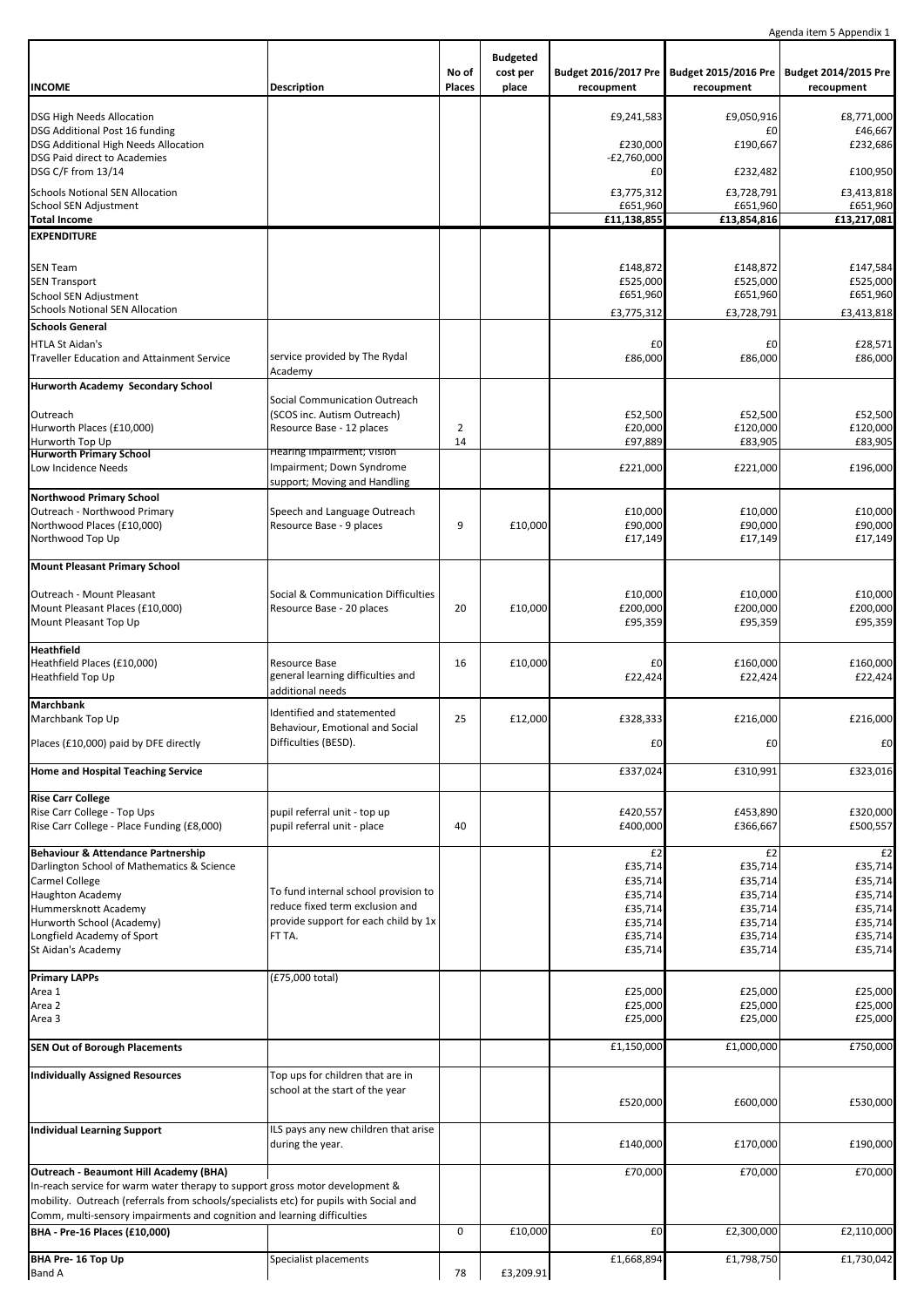Agenda item 5 Appendix 1

|                                                                                        |                                          |                        |                                      |                                    |                                    | Agenua Item J Appenuix I           |
|----------------------------------------------------------------------------------------|------------------------------------------|------------------------|--------------------------------------|------------------------------------|------------------------------------|------------------------------------|
| <b>INCOME</b>                                                                          | Description                              | No of<br><b>Places</b> | <b>Budgeted</b><br>cost per<br>place | Budget 2016/2017 Pre<br>recoupment | Budget 2015/2016 Pre<br>recoupment | Budget 2014/2015 Pre<br>recoupment |
|                                                                                        |                                          |                        |                                      |                                    |                                    |                                    |
| <b>DSG High Needs Allocation</b><br>DSG Additional Post 16 funding                     |                                          |                        |                                      | £9,241,583                         | £9,050,916<br>£0                   | £8,771,000<br>£46,667              |
| DSG Additional High Needs Allocation                                                   |                                          |                        |                                      | £230,000                           | £190,667                           | £232,686                           |
| <b>DSG Paid direct to Academies</b>                                                    |                                          |                        |                                      | $-E2,760,000$                      |                                    |                                    |
| DSG C/F from 13/14                                                                     |                                          |                        |                                      | £0                                 | £232,482                           | £100,950                           |
| <b>Schools Notional SEN Allocation</b>                                                 |                                          |                        |                                      | £3,775,312                         | £3,728,791                         | £3,413,818                         |
| School SEN Adjustment                                                                  |                                          |                        |                                      | £651,960                           | £651,960                           | £651,960                           |
| <b>Total Income</b>                                                                    |                                          |                        |                                      | £11,138,855                        | £13,854,816                        | £13,217,081                        |
| <b>EXPENDITURE</b>                                                                     |                                          |                        |                                      |                                    |                                    |                                    |
|                                                                                        |                                          |                        |                                      |                                    |                                    |                                    |
| <b>SEN Team</b>                                                                        |                                          |                        |                                      | £148,872                           | £148,872                           | £147,584                           |
| <b>SEN Transport</b>                                                                   |                                          |                        |                                      | £525,000                           | £525,000                           | £525,000                           |
| <b>School SEN Adjustment</b>                                                           |                                          |                        |                                      | £651,960                           | £651,960                           | £651,960                           |
| <b>Schools Notional SEN Allocation</b>                                                 |                                          |                        |                                      | £3,775,312                         | £3,728,791                         | £3,413,818                         |
| <b>Schools General</b>                                                                 |                                          |                        |                                      |                                    |                                    |                                    |
| <b>HTLA St Aidan's</b>                                                                 |                                          |                        |                                      | £0                                 | £0                                 | £28,571                            |
| <b>Traveller Education and Attainment Service</b>                                      | service provided by The Rydal<br>Academy |                        |                                      | £86,000                            | £86,000                            | £86,000                            |
| Hurworth Academy Secondary School                                                      |                                          |                        |                                      |                                    |                                    |                                    |
|                                                                                        | Social Communication Outreach            |                        |                                      |                                    |                                    |                                    |
| Outreach                                                                               | (SCOS inc. Autism Outreach)              |                        |                                      | £52,500                            | £52,500                            | £52,500                            |
| Hurworth Places (£10,000)                                                              | Resource Base - 12 places                | $\mathbf 2$            |                                      | £20,000                            | £120,000                           | £120,000                           |
| Hurworth Top Up                                                                        |                                          | 14                     |                                      | £97,889                            | £83,905                            | £83,905                            |
| <b>Hurworth Primary School</b>                                                         | Hearing Impairment; Vision               |                        |                                      |                                    |                                    |                                    |
| Low Incidence Needs                                                                    | Impairment; Down Syndrome                |                        |                                      | £221,000                           | £221,000                           | £196,000                           |
|                                                                                        | support; Moving and Handling             |                        |                                      |                                    |                                    |                                    |
| <b>Northwood Primary School</b>                                                        |                                          |                        |                                      |                                    |                                    |                                    |
| Outreach - Northwood Primary<br>Northwood Places (£10,000)                             | Speech and Language Outreach             | 9                      | £10,000                              | £10,000<br>£90,000                 | £10,000<br>£90,000                 | £10,000<br>£90,000                 |
| Northwood Top Up                                                                       | Resource Base - 9 places                 |                        |                                      | £17,149                            | £17,149                            | £17,149                            |
|                                                                                        |                                          |                        |                                      |                                    |                                    |                                    |
| <b>Mount Pleasant Primary School</b>                                                   |                                          |                        |                                      |                                    |                                    |                                    |
|                                                                                        |                                          |                        |                                      |                                    |                                    |                                    |
| Outreach - Mount Pleasant                                                              | Social & Communication Difficulties      |                        |                                      | £10,000                            | £10,000                            | £10,000                            |
| Mount Pleasant Places (£10,000)                                                        | Resource Base - 20 places                | 20                     | £10,000                              | £200,000                           | £200,000                           | £200,000                           |
| Mount Pleasant Top Up                                                                  |                                          |                        |                                      | £95,359                            | £95,359                            | £95,359                            |
| <b>Heathfield</b>                                                                      |                                          |                        |                                      |                                    |                                    |                                    |
| Heathfield Places (£10,000)                                                            | Resource Base                            | 16                     | £10,000                              | £0                                 | £160,000                           | £160,000                           |
| Heathfield Top Up                                                                      | general learning difficulties and        |                        |                                      | £22,424                            | £22,424                            | £22,424                            |
|                                                                                        | additional needs                         |                        |                                      |                                    |                                    |                                    |
| <b>Marchbank</b>                                                                       | Identified and statemented               |                        |                                      |                                    |                                    |                                    |
| Marchbank Top Up                                                                       | Behaviour, Emotional and Social          | 25                     | £12,000                              | £328,333                           | £216,000                           | £216,000                           |
| Places (£10,000) paid by DFE directly                                                  | Difficulties (BESD).                     |                        |                                      | £0                                 | £0                                 | £0                                 |
|                                                                                        |                                          |                        |                                      |                                    |                                    |                                    |
| Home and Hospital Teaching Service                                                     |                                          |                        |                                      | £337,024                           | £310,991                           | £323,016                           |
|                                                                                        |                                          |                        |                                      |                                    |                                    |                                    |
| <b>Rise Carr College</b>                                                               |                                          |                        |                                      |                                    |                                    |                                    |
| Rise Carr College - Top Ups                                                            | pupil referral unit - top up             |                        |                                      | £420,557                           | £453,890                           | £320,000                           |
| Rise Carr College - Place Funding (£8,000)                                             | pupil referral unit - place              | 40                     |                                      | £400,000                           | £366,667                           | £500,557                           |
| Behaviour & Attendance Partnership                                                     |                                          |                        |                                      | £2                                 | £2                                 | £2                                 |
| Darlington School of Mathematics & Science                                             |                                          |                        |                                      | £35,714                            | £35,714                            | £35,714                            |
| <b>Carmel College</b>                                                                  |                                          |                        |                                      | £35,714                            | £35,714                            | £35,714                            |
| <b>Haughton Academy</b>                                                                | To fund internal school provision to     |                        |                                      | £35,714                            | £35,714                            | £35,714                            |
| Hummersknott Academy                                                                   | reduce fixed term exclusion and          |                        |                                      | £35,714                            | £35,714                            | £35,714                            |
| Hurworth School (Academy)                                                              | provide support for each child by 1x     |                        |                                      | £35,714                            | £35,714                            | £35,714                            |
| Longfield Academy of Sport                                                             | FT TA.                                   |                        |                                      | £35,714                            | £35,714                            | £35,714                            |
| St Aidan's Academy                                                                     |                                          |                        |                                      | £35,714                            | £35,714                            | £35,714                            |
| <b>Primary LAPPs</b>                                                                   | (£75,000 total)                          |                        |                                      |                                    |                                    |                                    |
| Area 1                                                                                 |                                          |                        |                                      | £25,000                            | £25,000                            | £25,000                            |
| Area 2                                                                                 |                                          |                        |                                      | £25,000                            | £25,000                            | £25,000                            |
| Area 3                                                                                 |                                          |                        |                                      | £25,000                            | £25,000                            | £25,000                            |
|                                                                                        |                                          |                        |                                      |                                    |                                    |                                    |
| <b>SEN Out of Borough Placements</b>                                                   |                                          |                        |                                      | £1,150,000                         | £1,000,000                         | £750,000                           |
|                                                                                        |                                          |                        |                                      |                                    |                                    |                                    |
| <b>Individually Assigned Resources</b>                                                 | Top ups for children that are in         |                        |                                      |                                    |                                    |                                    |
|                                                                                        | school at the start of the year          |                        |                                      | £520,000                           | £600,000                           | £530,000                           |
|                                                                                        |                                          |                        |                                      |                                    |                                    |                                    |
| <b>Individual Learning Support</b>                                                     | ILS pays any new children that arise     |                        |                                      |                                    |                                    |                                    |
|                                                                                        | during the year.                         |                        |                                      | £140,000                           | £170,000                           | £190,000                           |
|                                                                                        |                                          |                        |                                      |                                    |                                    |                                    |
| Outreach - Beaumont Hill Academy (BHA)                                                 |                                          |                        |                                      | £70,000                            | £70,000                            | £70,000                            |
| In-reach service for warm water therapy to support gross motor development &           |                                          |                        |                                      |                                    |                                    |                                    |
| mobility. Outreach (referrals from schools/specialists etc) for pupils with Social and |                                          |                        |                                      |                                    |                                    |                                    |
| Comm, multi-sensory impairments and cognition and learning difficulties                |                                          | 0                      |                                      |                                    |                                    |                                    |
| BHA - Pre-16 Places (£10,000)                                                          |                                          |                        | £10,000                              | £0                                 | £2,300,000                         | £2,110,000                         |
| BHA Pre-16 Top Up                                                                      | Specialist placements                    |                        |                                      | £1,668,894                         | £1,798,750                         | £1,730,042                         |
| <b>Band A</b>                                                                          |                                          | 78                     | £3,209.91                            |                                    |                                    |                                    |